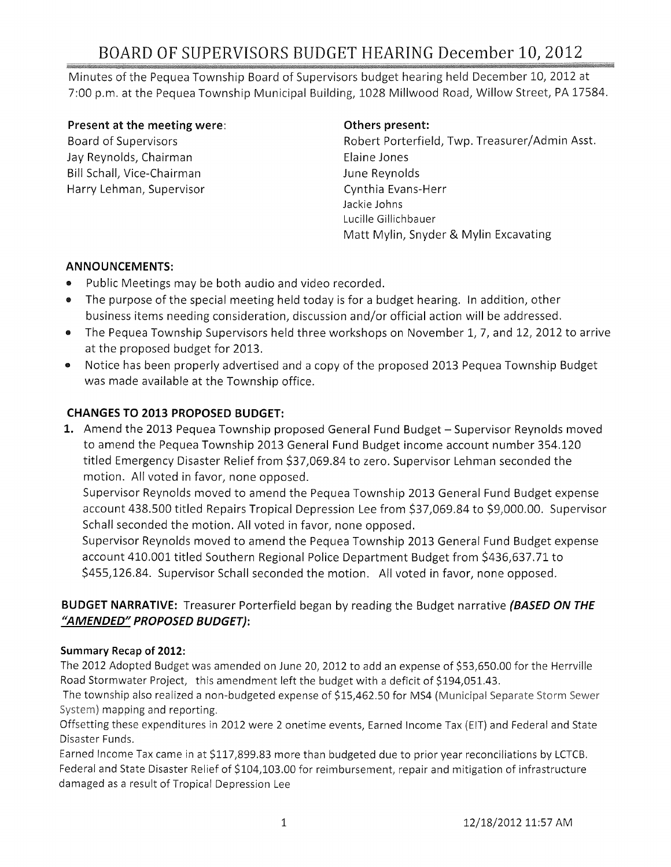Minutes of the Pequea Township Board of Supervisors budget hearing held December 10, 2012 at 7:00 p.m. at the Pequea Township Municipal Building, 1028 Millwood Road, Willow Street, PA 17584.

#### Present at the meeting were:

Board of Supervisors Jay Reynolds, Chairman Bill Schall, Vice-Chairman Harry Lehman, Supervisor

### Others present:

Robert Porterfield, Twp. Treasurer/Admin Asst. Elaine Jones June Reynolds Cynthia Evans-Herr Jackie Johns Lucille Gillichbauer Matt Mylin, Snyder & Mylin Excavating

### ANNOUNCEMENTS:

- .. Public Meetings may be both audio and video recorded.
- The purpose of the special meeting held today is for a budget hearing. In addition, other business items needing consideration, discussion and/or official action will be addressed.
- .. The Pequea Township Supervisors held three workshops on November 1, 7, and 12, 2012 to arrive at the proposed budget for 2013.
- Notice has been properly advertised and a copy of the proposed 2013 Pequea Township Budget was made available at the Township office.

## CHANGES TO 2013 PROPOSED BUDGET:

1. Amend the 2013 Pequea Township proposed General Fund Budget - Supervisor Reynolds moved to amend the Pequea Township 2013 General Fund Budget income account number 354.120 titled Emergency Disaster Relief from \$37,069.84 to zero. Supervisor Lehman seconded the motion. All voted in favor, none opposed.

Supervisor Reynolds moved to amend the Pequea Township 2013 General Fund Budget expense account 438.500 titled Repairs Tropical Depression Lee from \$37,069.84 to \$9,000.00. Supervisor Schall seconded the motion. All voted in favor, none opposed.

Supervisor Reynolds moved to amend the Pequea Township 2013 General Fund Budget expense account 410.001 titled Southern Regional Police Department Budget from \$436,637.71 to \$455,126.84. Supervisor Schall seconded the motion. All voted in favor, none opposed.

## BUDGET NARRATIVE: Treasurer Porterfield began by reading the Budget narrative *(BASED ON THE "AMENDED" PROPOSED BUDGET):*

### Summary Recap of 2012:

The 2012 Adopted Budget was amended on June 20, 2012 to add an expense of \$53,650.00 for the Herrville Road Stormwater Project, this amendment left the budget with a deficit of \$194,051.43.

The township also realized a non-budgeted expense of \$15,462.50 for MS4 (Municipal Separate Storm Sewer System) mapping and reporting.

Offsetting these expenditures in 2012 were 2 onetime events, Earned Income Tax (EIT) and Federal and State Disaster Funds.

Earned Income Tax came in at \$117,899.83 more than budgeted due to prior year reconciliations by LCTCB. Federal and State Disaster Relief of \$104,103.00 for reimbursement, repair and mitigation of infrastructure damaged as a result of Tropical Depression Lee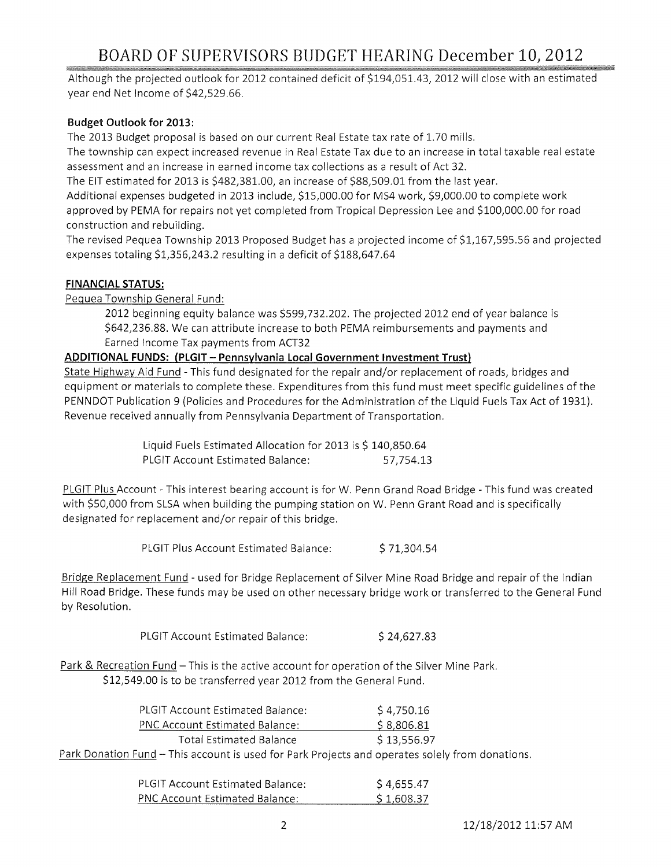Although the projected outlook for 2012 contained deficit of \$194,051.43, 2012 will close with an estimated year end Net Income of \$42,529.66.

#### **Budget Outlook for** 2013:

The 2013 Budget proposal is based on our current Real Estate tax rate of 1.70 mills.

The township can expect increased revenue in Real Estate Tax due to an increase in total taxable real estate assessment and an increase in earned income tax collections as a result of Act 32.

The EIT estimated for 2013 is \$482,381.00, an increase of \$88,509.01 from the last year.

Additional expenses budgeted in 2013 include, \$15,000.00 for MS4 work, \$9,000.00 to complete work approved by PEMA for repairs not yet completed from Tropical Depression Lee and \$100,000.00 for road construction and rebuilding.

The revised Pequea Township 2013 Proposed Budget has a projected income of \$1,167,595.56 and projected expenses totaling \$1,356,243.2 resulting in a deficit of \$188,647.64

#### **FINANCIAL STATUS:**

Pequea Township General Fund:

2012 beginning equity balance was \$599,732.202. The projected 2012 end of year balance is \$642,236.88. We can attribute increase to both PEMA reimbursements and payments and Earned Income Tax payments from ACT32

#### **ADDITIONAL FUNDS: (PLGIT - Pennsylvania Local Government Investment Trust)**

State Highway Aid Fund - This fund designated for the repair and/or replacement of roads, bridges and equipment or materials to complete these. Expenditures from this fund must meet specific guidelines of the PENNDOT Publication 9 (Policies and Procedures for the Administration of the Liquid Fuels Tax Act of 1931). Revenue received annually from Pennsylvania Department of Transportation.

> Liquid Fuels Estimated Allocation for 2013 is \$ 140,850.64 PLGIT Account Estimated Balance: 57,754.13

PLGIT Plus Account - This interest bearing account is for W. Penn Grand Road Bridge - This fund was created with \$50,000 from SLSA when building the pumping station on W. Penn Grant Road and is specifically designated for replacement and/or repair of this bridge.

PLGIT Plus Account Estimated Balance: \$71,304.54

Bridge Replacement Fund - used for Bridge Replacement of Silver Mine Road Bridge and repair of the Indian Hill Road Bridge. These funds may be used on other necessary bridge work or transferred to the General Fund by Resolution.

PLGIT Account Estimated Balance: \$24,627.83

Park & Recreation Fund - This is the active account for operation of the Silver Mine Park. \$12,549.00 is to be transferred year 2012 from the General Fund.

| <b>PLGIT Account Estimated Balance:</b>                                                         | S 4.750.16  |  |
|-------------------------------------------------------------------------------------------------|-------------|--|
| <b>PNC Account Estimated Balance:</b>                                                           | \$8,806.81  |  |
| Total Estimated Balance                                                                         | \$13,556.97 |  |
| Park Donation Fund – This account is used for Park Projects and operates solely from donations. |             |  |

| <b>PLGIT Account Estimated Balance:</b> | \$4,655.47 |
|-----------------------------------------|------------|
| <b>PNC Account Estimated Balance:</b>   | \$1,608.37 |

2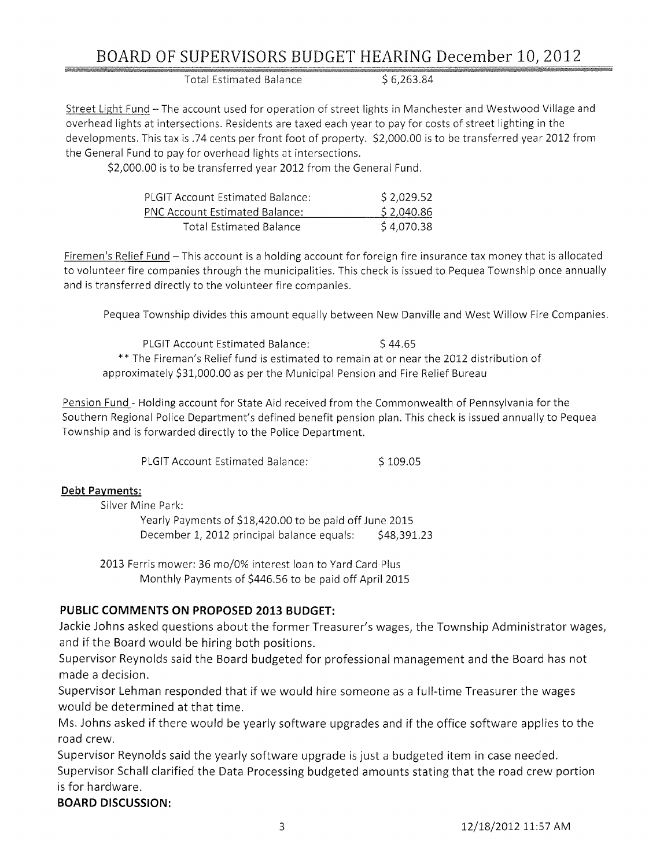Total Estimated Balance  $$6,263.84$ 

Street Light Fund - The account used for operation of street lights in Manchester and Westwood Village and overhead lights at intersections. Residents are taxed each year to pay for costs of street lighting in the developments. This tax is .74 cents per front foot of property. \$2,000.00 is to be transferred year 2012 from the General Fund to pay for overhead lights at intersections.

\$2,000.00 is to be transferred year 2012 from the General Fund.

| <b>PLGIT Account Estimated Balance:</b> | \$2,029.52 |
|-----------------------------------------|------------|
| <b>PNC Account Estimated Balance:</b>   | \$2,040.86 |
| Total Estimated Balance                 | \$4,070.38 |

Firemen's Relief Fund - This account is a holding account for foreign fire insurance tax money that is allocated to volunteer fire companies through the municipalities. This check is issued to Pequea Township once annually and is transferred directly to the volunteer fire companies.

Pequea Township divides this amount equally between New Danville and West Willow Fire Companies.

PLGIT Account Estimated Balance: \$44.65 \*\* The Fireman's Relief fund is estimated to remain at or near the 2012 distribution of approximately \$31,000.00 as per the Municipal Pension and Fire Relief Bureau

Pension Fund - Holding account for State Aid received from the Commonwealth of Pennsylvania for the Southern Regional Police Department's defined benefit pension plan. This check is issued annually to Pequea Township and is forwarded directly to the Police Department.

PLGIT Account Estimated Balance: \$109.05

### **Debt Payments:**

Silver Mine Park: Yearly Payments of \$18,420.00 to be paid off June 2015 December 1, 2012 principal balance equals: \$48,391.23

2013 Ferris mower: 36 mo/O% interest loan to Yard Card Plus Monthly Payments of \$446.56 to be paid off April 2015

### **PUBLIC COMMENTS ON PROPOSED 2013 BUDGET:**

Jackie Johns asked questions about the former Treasurer's wages, the Township Administrator wages, and if the Board would be hiring both positions.

Supervisor Reynolds said the Board budgeted for professional management and the Board has not made a decision.

Supervisor Lehman responded that if we would hire someone as a full-time Treasurer the wages would be determined at that time.

Ms. Johns asked if there would be yearly software upgrades and if the office software applies to the road crew.

Supervisor Reynolds said the yearly software upgrade is just a budgeted item in case needed. Supervisor Schall clarified the Data Processing budgeted amounts stating that the road crew portion is for hardware.

### **BOARD DISCUSSION:**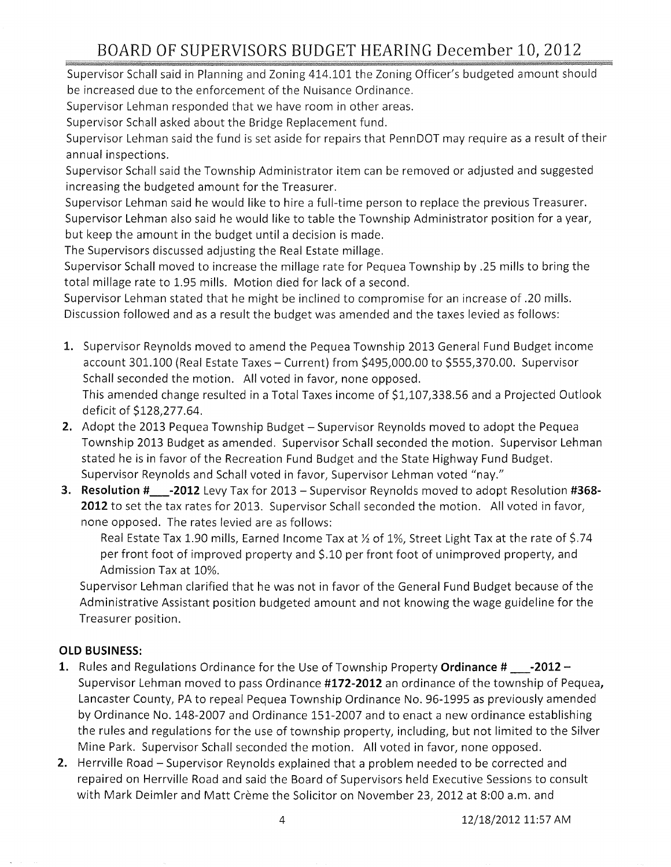Supervisor Schall said in Planning and Zoning 414.101 the Zoning Officer's budgeted amount should be increased due to the enforcement of the Nuisance Ordinance.

Supervisor Lehman responded that we have room in other areas.

Supervisor Schall asked about the Bridge Replacement fund.

Supervisor Lehman said the fund is set aside for repairs that PennDOT may require as a result of their annual inspections.

Supervisor Schall said the Township Administrator item can be removed or adjusted and suggested increasing the budgeted amount for the Treasurer.

Supervisor Lehman said he would like to hire a full-time person to replace the previous Treasurer. Supervisor Lehman also said he would like to table the Township Administrator position for a year, but keep the amount in the budget until a decision is made.

The Supervisors discussed adjusting the Real Estate millage.

Supervisor Schall moved to increase the millage rate for Pequea Township by .25 mills to bring the total millage rate to 1.95 mills. Motion died for lack of a second.

Supervisor Lehman stated that he might be inclined to compromise for an increase of .20 mills. Discussion followed and as a result the budget was amended and the taxes levied as follows:

- 1. Supervisor Reynolds moved to amend the Pequea Township 2013 General Fund Budget income account 301.100 (Real Estate Taxes - Current) from \$495,000.00 to \$555,370.00. Supervisor Schall seconded the motion. All voted in favor, none opposed. This amended change resulted in a Total Taxes income of \$1,107,338.56 and a Projected Outlook deficit of \$128,277.64.
- **2.** Adopt the 2013 Pequea Township Budget Supervisor Reynolds moved to adopt the Pequea Township 2013 Budget as amended. Supervisor Schall seconded the motion. Supervisor Lehman stated he is in favor of the Recreation Fund Budget and the State Highway Fund Budget. Supervisor Reynolds and Schall voted in favor, Supervisor Lehman voted "nay."
- 3. **Resolution #\_-2012** Levy Tax for 2013 Supervisor Reynolds moved to adopt Resolution **#368- 2012** to set the tax rates for 2013. Supervisor Schall seconded the motion. All voted in favor, none opposed. The rates levied are as follows:

Real Estate Tax 1.90 mills, Earned Income Tax at *Yz* of 1%, Street Light Tax at the rate of \$.74 per front foot of improved property and \$.10 per front foot of unimproved property, and Admission Tax at 10%.

Supervisor Lehman clarified that he was not in favor of the General Fund Budget because of the Administrative Assistant position budgeted amount and not knowing the wage guideline for the Treasurer position.

### **OLD BUSINESS:**

- 1. Rules and Regulations Ordinance for the Use of Township Property **Ordinance #** \_\_\_-2012 -Supervisor Lehman moved to pass Ordinance **#172-2012** an ordinance of the township of Pequea, Lancaster County, PA to repeal Pequea Township Ordinance No. 96-1995 as previously amended by Ordinance No. 148-2007 and Ordinance 151-2007 and to enact a new ordinance establishing the rules and regulations for the use of township property, including, but not limited to the Silver Mine Park. Supervisor Schall seconded the motion. All voted in favor, none opposed.
- **2.** Herrville Road Supervisor Reynolds explained that a problem needed to be corrected and repaired on Herrville Road and said the Board of Supervisors held Executive Sessions to consult with Mark Deimler and Matt Crème the Solicitor on November 23, 2012 at 8:00 a.m. and